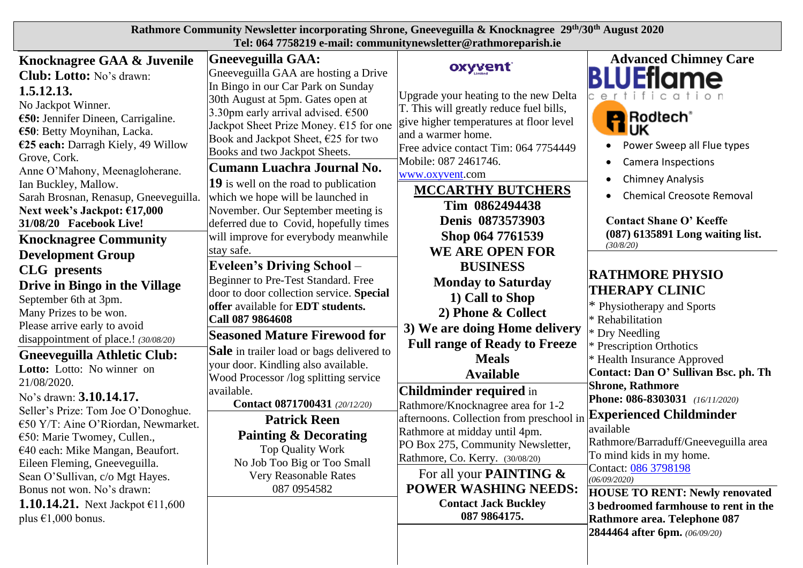| Rathmore Community Newsletter incorporating Shrone, Gneeveguilla & Knocknagree 29th/30th August 2020<br>Tel: 064 7758219 e-mail: communitynewsletter@rathmoreparish.ie                                                                                                                                                                                                    |                                                                                                                                                                                                                                                                                                                                                                                                                                                                          |                                                                                                                                                                                                                                                                                                                   |                                                                                                                                                                                                                                                                          |  |  |
|---------------------------------------------------------------------------------------------------------------------------------------------------------------------------------------------------------------------------------------------------------------------------------------------------------------------------------------------------------------------------|--------------------------------------------------------------------------------------------------------------------------------------------------------------------------------------------------------------------------------------------------------------------------------------------------------------------------------------------------------------------------------------------------------------------------------------------------------------------------|-------------------------------------------------------------------------------------------------------------------------------------------------------------------------------------------------------------------------------------------------------------------------------------------------------------------|--------------------------------------------------------------------------------------------------------------------------------------------------------------------------------------------------------------------------------------------------------------------------|--|--|
| Knocknagree GAA & Juvenile<br><b>Club: Lotto:</b> No's drawn:<br>1.5.12.13.<br>No Jackpot Winner.<br>$\epsilon$ 50: Jennifer Dineen, Carrigaline.<br>€50: Betty Moynihan, Lacka.<br>€25 each: Darragh Kiely, 49 Willow<br>Grove, Cork.<br>Anne O'Mahony, Meenagloherane.<br>Ian Buckley, Mallow.<br>Sarah Brosnan, Renasup, Gneeveguilla.<br>Next week's Jackpot: €17,000 | <b>Gneeveguilla GAA:</b><br>Gneeveguilla GAA are hosting a Drive<br>In Bingo in our Car Park on Sunday<br>30th August at 5pm. Gates open at<br>3.30pm early arrival advised. $\epsilon$ 500<br>Jackpot Sheet Prize Money. $€15$ for one<br>Book and Jackpot Sheet, $E25$ for two<br>Books and two Jackpot Sheets.<br> Cumann Luachra Journal No.<br>$ 19 $ is well on the road to publication<br>which we hope will be launched in<br>November. Our September meeting is | oxyvent<br>Upgrade your heating to the new Delta<br>T. This will greatly reduce fuel bills,<br>give higher temperatures at floor level<br>and a warmer home.<br>Free advice contact Tim: 064 7754449<br>Mobile: 087 2461746.<br>www.oxyvent.com<br><b>MCCARTHY BUTCHERS</b><br>Tim 0862494438<br>Denis 0873573903 | <b>Advanced Chimney Care</b><br><b>BLUEflame</b><br>ertifica<br><b>P</b> Rodlech <sup>®</sup><br>UK<br>Power Sweep all Flue types<br><b>Camera Inspections</b><br>$\bullet$<br><b>Chimney Analysis</b><br><b>Chemical Creosote Removal</b><br>$\bullet$                  |  |  |
| 31/08/20 Facebook Live!<br><b>Knocknagree Community</b><br><b>Development Group</b>                                                                                                                                                                                                                                                                                       | deferred due to Covid, hopefully times<br>will improve for everybody meanwhile<br>stay safe.<br><b>Eveleen's Driving School</b> -                                                                                                                                                                                                                                                                                                                                        | Shop 064 7761539<br><b>WE ARE OPEN FOR</b><br><b>BUSINESS</b>                                                                                                                                                                                                                                                     | <b>Contact Shane O' Keeffe</b><br>(087) 6135891 Long waiting list.<br>(30/8/20)                                                                                                                                                                                          |  |  |
| <b>CLG</b> presents<br>Drive in Bingo in the Village<br>September 6th at 3pm.<br>Many Prizes to be won.<br>Please arrive early to avoid                                                                                                                                                                                                                                   | Beginner to Pre-Test Standard. Free<br>door to door collection service. Special<br>offer available for <b>EDT</b> students.<br>Call 087 9864608<br><b>Seasoned Mature Firewood for</b>                                                                                                                                                                                                                                                                                   | <b>Monday to Saturday</b><br>1) Call to Shop<br>2) Phone & Collect<br>3) We are doing Home delivery                                                                                                                                                                                                               | <b>RATHMORE PHYSIO</b><br><b>THERAPY CLINIC</b><br>* Physiotherapy and Sports<br>* Rehabilitation<br>* Dry Needling                                                                                                                                                      |  |  |
| disappointment of place.! (30/08/20)<br><b>Gneeveguilla Athletic Club:</b><br>Lotto: Lotto: No winner on<br>21/08/2020.<br>No's drawn: 3.10.14.17.                                                                                                                                                                                                                        | <b>Sale</b> in trailer load or bags delivered to<br>your door. Kindling also available.<br>Wood Processor /log splitting service<br>available.<br>Contact 0871700431 (20/12/20)                                                                                                                                                                                                                                                                                          | <b>Full range of Ready to Freeze</b><br><b>Meals</b><br><b>Available</b><br><b>Childminder required in</b><br>Rathmore/Knocknagree area for 1-2                                                                                                                                                                   | * Prescription Orthotics<br>* Health Insurance Approved<br>Contact: Dan O' Sullivan Bsc. ph. Th<br><b>Shrone, Rathmore</b><br>Phone: 086-8303031 (16/11/2020)                                                                                                            |  |  |
| Seller's Prize: Tom Joe O'Donoghue.<br>€50 Y/T: Aine O'Riordan, Newmarket.<br>€50: Marie Twomey, Cullen.,<br>€40 each: Mike Mangan, Beaufort.<br>Eileen Fleming, Gneeveguilla.<br>Sean O'Sullivan, c/o Mgt Hayes.<br>Bonus not won. No's drawn:<br><b>1.10.14.21.</b> Next Jackpot $\text{\textsterling}11,600$<br>plus $\epsilon$ 1,000 bonus.                           | <b>Patrick Reen</b><br><b>Painting &amp; Decorating</b><br>Top Quality Work<br>No Job Too Big or Too Small<br>Very Reasonable Rates<br>087 0954582                                                                                                                                                                                                                                                                                                                       | afternoons. Collection from preschool in<br>Rathmore at midday until 4pm.<br>PO Box 275, Community Newsletter,<br>Rathmore, Co. Kerry. (30/08/20)<br>For all your <b>PAINTING &amp;</b><br><b>POWER WASHING NEEDS:</b><br><b>Contact Jack Buckley</b><br>087 9864175.                                             | <b>Experienced Childminder</b><br>available<br>Rathmore/Barraduff/Gneeveguilla area<br>To mind kids in my home.<br>Contact: 086 3798198<br>(06/09/2020)<br><b>HOUSE TO RENT: Newly renovated</b><br>3 bedroomed farmhouse to rent in the<br>Rathmore area. Telephone 087 |  |  |
|                                                                                                                                                                                                                                                                                                                                                                           |                                                                                                                                                                                                                                                                                                                                                                                                                                                                          |                                                                                                                                                                                                                                                                                                                   | 2844464 after 6pm. (06/09/20)                                                                                                                                                                                                                                            |  |  |